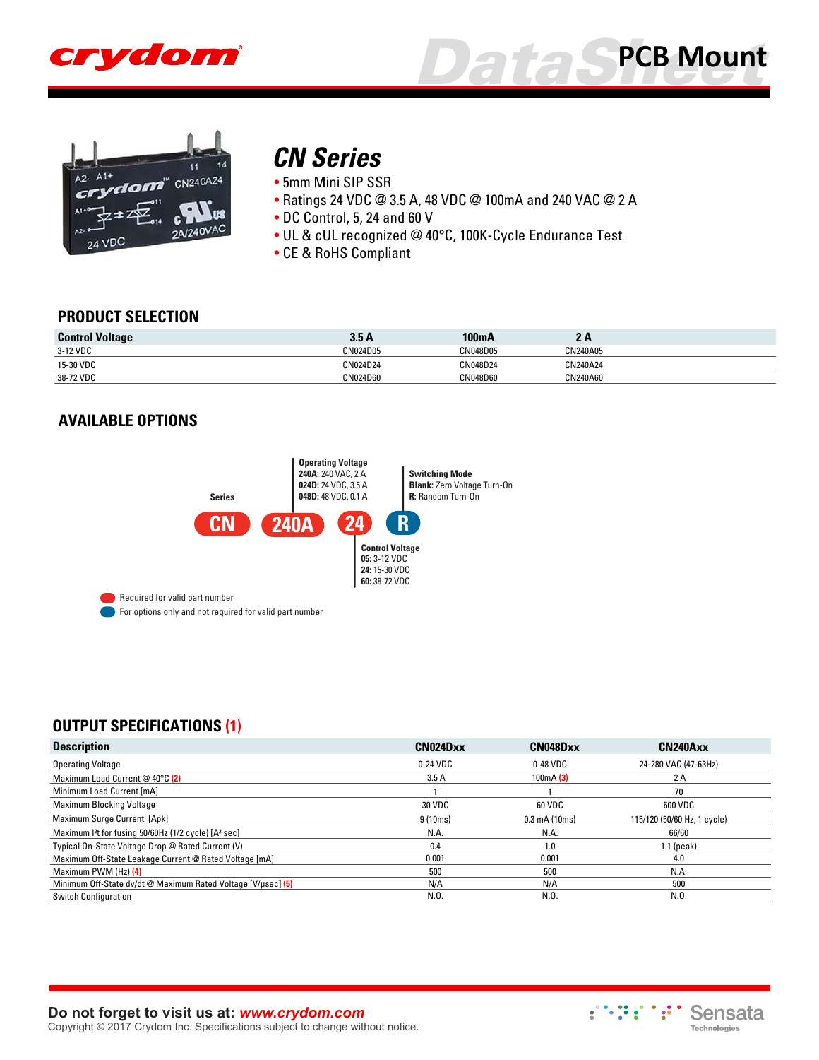





## *[CN Series](http://www.crydom.com/en/products/pcb-mount-mini-sip/ac-output/cn-series/)*

• 5mm Mini SIP SSR

- Ratings 24 VDC @ 3.5 A, 48 VDC @ 100mA and 240 VAC @ 2 A
- DC Control, 5, 24 and 60 V
- UL & cUL recognized @ 40°C, 100K-Cycle Endurance Test
- CE & RoHS Compliant

#### **PRODUCT SELECTION**

| <b>Control Voltage</b> | 3.5 A           | 100mA           | -        |  |
|------------------------|-----------------|-----------------|----------|--|
| 3-12 VDC               | CN024D05        | CN048D05        | CN240A05 |  |
| 15-30 VDC              | <b>CN024D24</b> | <b>CN048D24</b> | CN240A24 |  |
| 38-72 VDC              | CN024D60        | CN048D60        | CN240A60 |  |

#### **AVAILABLE OPTIONS**



#### **OUTPUT SPECIFICATIONS (1)**

| <b>Description</b>                                                           | CN024Dxx | CN048Dxx                | CN240Axx                    |
|------------------------------------------------------------------------------|----------|-------------------------|-----------------------------|
| <b>Operating Voltage</b>                                                     | 0-24 VDC | 0-48 VDC                | 24-280 VAC (47-63Hz)        |
| Maximum Load Current @ 40°C (2)                                              | 3.5A     | 100mA(3)                | 2 A                         |
| Minimum Load Current [mA]                                                    |          |                         | 70                          |
| <b>Maximum Blocking Voltage</b>                                              | 30 VDC   | 60 VDC                  | 600 VDC                     |
| Maximum Surge Current [Apk]                                                  | 9 (10ms) | $0.3 \text{ mA}$ (10ms) | 115/120 (50/60 Hz, 1 cycle) |
| Maximum I <sup>2</sup> t for fusing 50/60Hz (1/2 cycle) [A <sup>2</sup> sec] | N.A.     | N.A.                    | 66/60                       |
| Typical On-State Voltage Drop @ Rated Current (V)                            | 0.4      | $\overline{0}$ .        | $1.1$ (peak)                |
| Maximum Off-State Leakage Current @ Rated Voltage [mA]                       | 0.001    | 0.001                   | 4.0                         |
| Maximum PWM (Hz) (4)                                                         | 500      | 500                     | N.A.                        |
| Minimum Off-State dv/dt @ Maximum Rated Voltage [V/usec] (5)                 | N/A      | N/A                     | 500                         |
| <b>Switch Configuration</b>                                                  | N.O.     | N.0                     | N.O.                        |

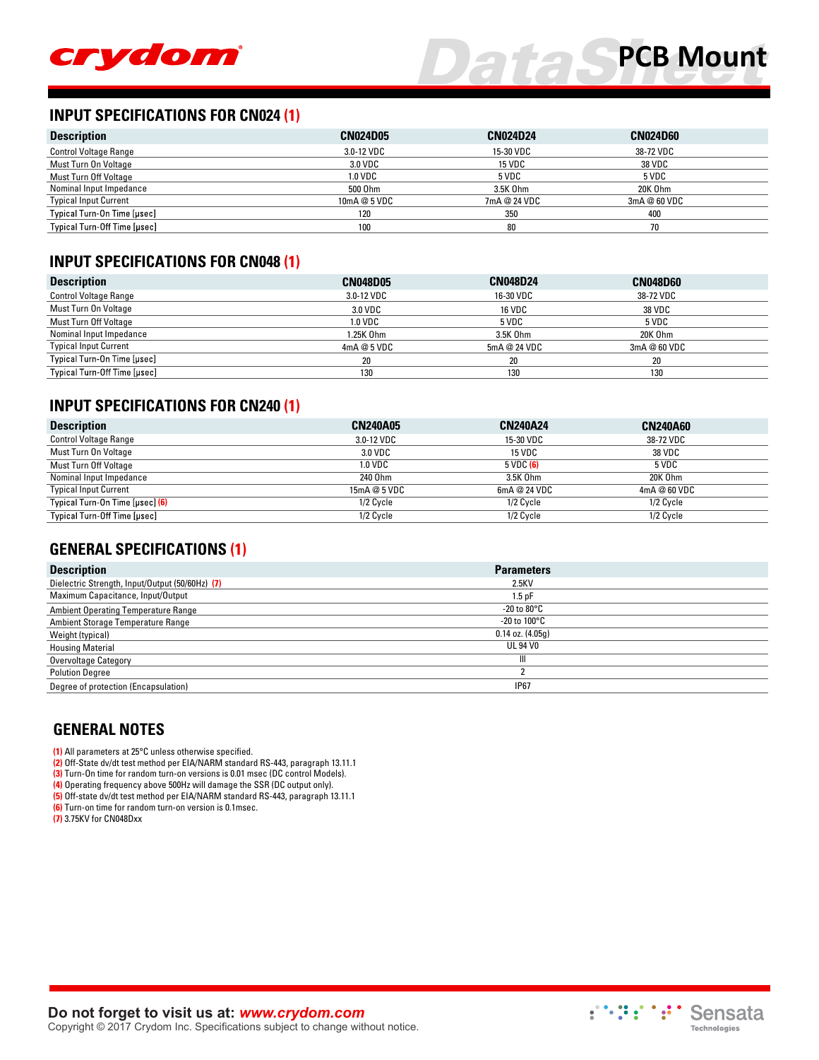

#### **INPUT SPECIFICATIONS FOR CN024 (1)**

| <b>Description</b>           | <b>CN024D05</b> | <b>CN024D24</b> | <b>CN024D60</b> |  |
|------------------------------|-----------------|-----------------|-----------------|--|
| <b>Control Voltage Range</b> | 3.0-12 VDC      | 15-30 VDC       | 38-72 VDC       |  |
| Must Turn On Voltage         | 3.0 VDC         | <b>15 VDC</b>   | <b>38 VDC</b>   |  |
| Must Turn Off Voltage        | 1.0 VDC         | 5 VDC           | 5 VDC           |  |
| Nominal Input Impedance      | 500 Ohm         | 3.5K 0hm        | 20K Ohm         |  |
| <b>Typical Input Current</b> | 10mA @ 5 VDC    | 7mA @ 24 VDC    | 3mA@60 VDC      |  |
| Typical Turn-On Time [µsec]  | 120             | 350             | 400             |  |
| Typical Turn-Off Time [usec] | 100             | 80              | 70              |  |

#### **INPUT SPECIFICATIONS FOR CN048 (1)**

| <b>Description</b>           | <b>CN048D05</b> | <b>CN048D24</b> | <b>CN048D60</b> |  |
|------------------------------|-----------------|-----------------|-----------------|--|
| <b>Control Voltage Range</b> | 3.0-12 VDC      | 16-30 VDC       | 38-72 VDC       |  |
| Must Turn On Voltage         | 3.0 VDC         | <b>16 VDC</b>   | 38 VDC          |  |
| Must Turn Off Voltage        | 1.0 VDC         | 5 VDC           | 5 VDC           |  |
| Nominal Input Impedance      | 1.25K Ohm       | 3.5K 0hm        | 20K Ohm         |  |
| <b>Typical Input Current</b> | 4mA@5VDC        | 5mA @ 24 VDC    | 3mA @ 60 VDC    |  |
| Typical Turn-On Time [µsec]  | 20              | 20              | 20              |  |
| Typical Turn-Off Time [µsec] | 130             | 130             | 130             |  |

#### **INPUT SPECIFICATIONS FOR CN240 (1)**

| <b>Description</b>                     | <b>CN240A05</b> | <b>CN240A24</b> | <b>CN240A60</b> |
|----------------------------------------|-----------------|-----------------|-----------------|
| <b>Control Voltage Range</b>           | 3.0-12 VDC      | 15-30 VDC       | 38-72 VDC       |
| Must Turn On Voltage                   | 3.0 VDC         | 15 VDC          | <b>38 VDC</b>   |
| Must Turn Off Voltage                  | 1.0 VDC         | 5 VDC (6)       | 5 VDC           |
| Nominal Input Impedance                | 240 Ohm         | 3.5K 0hm        | 20K Ohm         |
| <b>Typical Input Current</b>           | 15mA@5VDC       | 6mA@24 VDC      | 4mA @ 60 VDC    |
| Typical Turn-On Time [µsec] <b>(6)</b> | 1/2 Cycle       | 1/2 Cycle       | 1/2 Cycle       |
| Typical Turn-Off Time [usec]           | 1/2 Cycle       | 1/2 Cycle       | 1/2 Cycle       |

#### **GENERAL SPECIFICATIONS (1)**

| <b>Description</b>                              | <b>Parameters</b>       |
|-------------------------------------------------|-------------------------|
| Dielectric Strength, Input/Output (50/60Hz) (7) | 2.5KV                   |
| Maximum Capacitance, Input/Output               | $1.5$ pF                |
| <b>Ambient Operating Temperature Range</b>      | -20 to $80^{\circ}$ C   |
| Ambient Storage Temperature Range               | -20 to 100 $^{\circ}$ C |
| Weight (typical)                                | $0.14$ oz. $(4.05q)$    |
| <b>Housing Material</b>                         | UL 94 VO                |
| Overvoltage Category                            | Ш                       |
| <b>Polution Degree</b>                          |                         |
| Degree of protection (Encapsulation)            | <b>IP67</b>             |

#### **GENERAL NOTES**

**(1)** All parameters at 25°C unless otherwise specified.

**(2)** Off-State dv/dt test method per EIA/NARM standard RS-443, paragraph 13.11.1

**(3)** Turn-On time for random turn-on versions is 0.01 msec (DC control Models).

**(4)** Operating frequency above 500Hz will damage the SSR (DC output only). **(5)** Off-state dv/dt test method per EIA/NARM standard RS-443, paragraph 13.11.1

**(6)** Turn-on time for random turn-on version is 0.1msec.

**(7)** 3.75KV for CN048Dxx



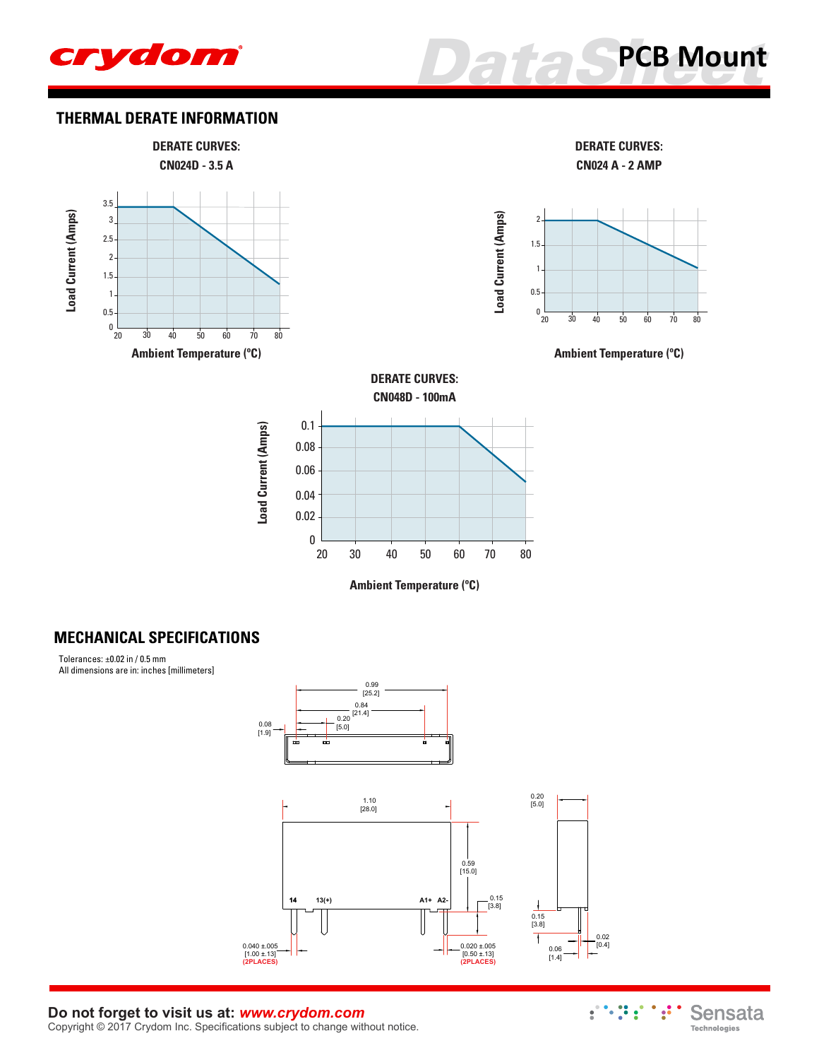



#### **THERMAL DERATE INFORMATION**



#### **MECHANICAL SPECIFICATIONS**

Tolerances: ±0.02 in / 0.5 mm All dimensions are in: inches [millimeters]



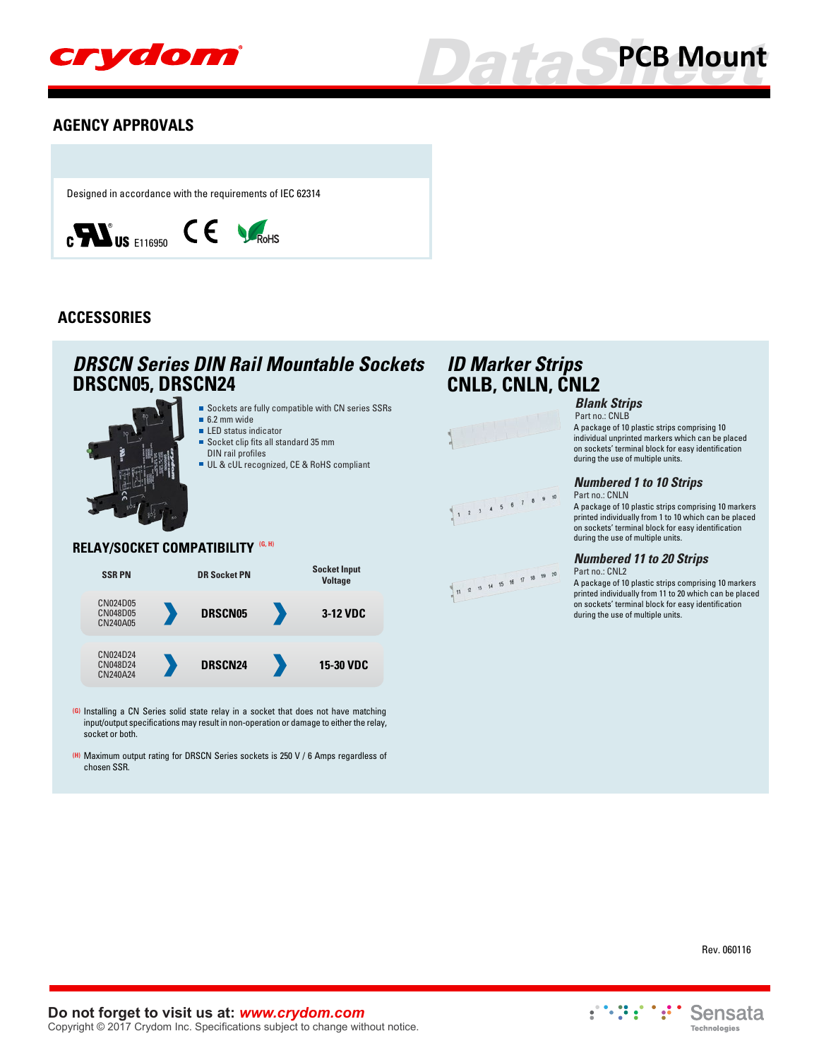

# **[PCB Mount](http://www.crydom.com/en/products/pcb-mount.shtml)**

#### **AGENCY APPROVALS**

Designed in accordance with the requirements of IEC 62314



#### **ACCESSORIES**

### **DRSCN05, DRSCN24 CNLB, CNLN, CNL2** *DRSCN Series DIN Rail Mountable Sockets ID Marker Strips*



#### **RELAY/SOCKET COMPATIBILITY (G, H)**



- **(G)** Installing a CN Series solid state relay in a socket that does not have matching input/output specifications may result in non-operation or damage to either the relay, socket or both.
- **(H)** Maximum output rating for DRSCN Series sockets is 250 V / 6 Amps regardless of chosen SSR.







#### *Blank Strips*

Part no.: CNLB A package of 10 plastic strips comprising 10 individual unprinted markers which can be placed on sockets' terminal block for easy identification during the use of multiple units.

#### *Numbered 1 to 10 Strips*

Part no.: CNLN A package of 10 plastic strips comprising 10 markers printed individually from 1 to 10 which can be placed on sockets' terminal block for easy identification during the use of multiple units.

#### *Numbered 11 to 20 Strips*

during the use of multiple units.

Part no.: CNL2 A package of 10 plastic strips comprising 10 markers printed individually from 11 to 20 which can be placed on sockets' terminal block for easy identification



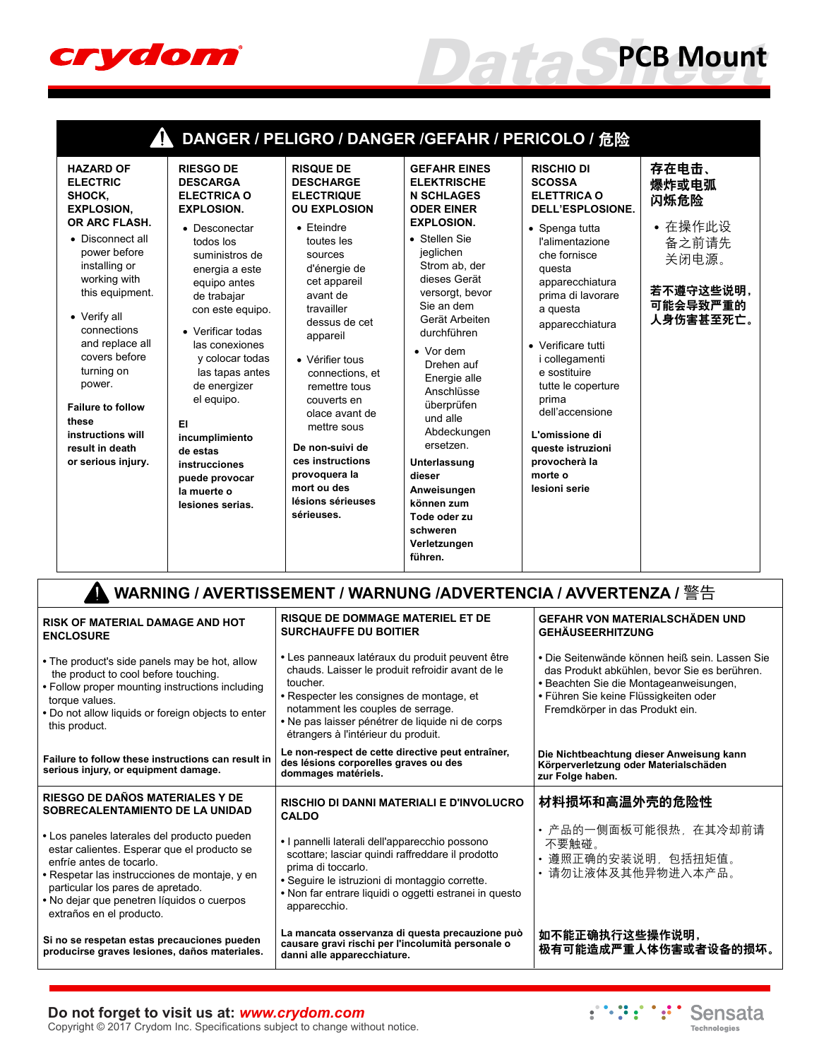

 $\Gamma$ 

| <b>HAZARD OF</b><br><b>RIESGO DE</b><br><b>ELECTRIC</b><br><b>DESCARGA</b><br><b>ELECTRICA O</b><br>SHOCK,<br><b>EXPLOSION,</b><br><b>EXPLOSION.</b><br>OR ARC FLASH.<br>• Desconectar<br>• Disconnect all<br>todos los<br>power before<br>suministros de<br>installing or<br>energia a este<br>working with<br>equipo antes<br>this equipment.<br>de trabajar<br>con este equipo.<br>• Verify all<br>connections<br>• Verificar todas<br>and replace all<br>las conexiones<br>covers before<br>y colocar todas<br>turning on<br>las tapas antes<br>power.<br>de energizer<br>el equipo.<br><b>Failure to follow</b><br>these<br>EI.<br>instructions will<br>incumplimiento<br>result in death<br>de estas<br>or serious injury.<br>instrucciones<br>puede provocar<br>la muerte o<br>lesiones serias. | <b>RISQUE DE</b><br><b>DESCHARGE</b><br><b>ELECTRIQUE</b><br><b>OU EXPLOSION</b><br>$\bullet$ Eteindre<br>toutes les<br>sources<br>d'énergie de<br>cet appareil<br>avant de<br>travailler<br>dessus de cet<br>appareil<br>• Vérifier tous<br>connections, et<br>remettre tous<br>couverts en<br>olace avant de<br>mettre sous<br>De non-suivi de<br>ces instructions<br>provoquera la<br>mort ou des<br>lésions sérieuses<br>sérieuses. | <b>GEFAHR EINES</b><br><b>ELEKTRISCHE</b><br><b>N SCHLAGES</b><br><b>ODER EINER</b><br><b>EXPLOSION.</b><br>• Stellen Sie<br>jeglichen<br>Strom ab, der<br>dieses Gerät<br>versorgt, bevor<br>Sie an dem<br>Gerät Arbeiten<br>durchführen<br>$\bullet$ Vor dem<br>Drehen auf<br>Energie alle<br>Anschlüsse<br>überprüfen<br>und alle<br>Abdeckungen<br>ersetzen.<br>Unterlassung<br>dieser<br>Anweisungen<br>können zum<br>Tode oder zu<br>schweren<br>Verletzungen<br>führen. | DANGER / PELIGRO / DANGER /GEFAHR / PERICOLO / 危险<br><b>RISCHIO DI</b><br><b>SCOSSA</b><br><b>ELETTRICA O</b><br>DELL'ESPLOSIONE.<br>• Spenga tutta<br>l'alimentazione<br>che fornisce<br>questa<br>apparecchiatura<br>prima di lavorare<br>a questa<br>apparecchiatura<br>• Verificare tutti<br><i>i</i> collegamenti<br>e sostituire<br>tutte le coperture<br>prima<br>dell'accensione<br>L'omissione di<br>queste istruzioni<br>provocherà la<br>morte o<br>lesioni serie | 存在电击、<br>爆炸或电弧<br>闪烁危险<br>• 在操作此设<br>备之前请先<br>关闭电源。<br>若不遵守这些说明,<br>可能会导致严重的<br>人身伤害甚至死亡。 |
|--------------------------------------------------------------------------------------------------------------------------------------------------------------------------------------------------------------------------------------------------------------------------------------------------------------------------------------------------------------------------------------------------------------------------------------------------------------------------------------------------------------------------------------------------------------------------------------------------------------------------------------------------------------------------------------------------------------------------------------------------------------------------------------------------------|-----------------------------------------------------------------------------------------------------------------------------------------------------------------------------------------------------------------------------------------------------------------------------------------------------------------------------------------------------------------------------------------------------------------------------------------|--------------------------------------------------------------------------------------------------------------------------------------------------------------------------------------------------------------------------------------------------------------------------------------------------------------------------------------------------------------------------------------------------------------------------------------------------------------------------------|------------------------------------------------------------------------------------------------------------------------------------------------------------------------------------------------------------------------------------------------------------------------------------------------------------------------------------------------------------------------------------------------------------------------------------------------------------------------------|-------------------------------------------------------------------------------------------|
|--------------------------------------------------------------------------------------------------------------------------------------------------------------------------------------------------------------------------------------------------------------------------------------------------------------------------------------------------------------------------------------------------------------------------------------------------------------------------------------------------------------------------------------------------------------------------------------------------------------------------------------------------------------------------------------------------------------------------------------------------------------------------------------------------------|-----------------------------------------------------------------------------------------------------------------------------------------------------------------------------------------------------------------------------------------------------------------------------------------------------------------------------------------------------------------------------------------------------------------------------------------|--------------------------------------------------------------------------------------------------------------------------------------------------------------------------------------------------------------------------------------------------------------------------------------------------------------------------------------------------------------------------------------------------------------------------------------------------------------------------------|------------------------------------------------------------------------------------------------------------------------------------------------------------------------------------------------------------------------------------------------------------------------------------------------------------------------------------------------------------------------------------------------------------------------------------------------------------------------------|-------------------------------------------------------------------------------------------|

|                                                                                                                                                                                                                                                                                        | WARNING / AVERTISSEMENT / WARNUNG /ADVERTENCIA / AVVERTENZA / 警告                                                                                                                                                                                                                            |                                                                                                                                                                                                                      |  |  |  |  |  |  |
|----------------------------------------------------------------------------------------------------------------------------------------------------------------------------------------------------------------------------------------------------------------------------------------|---------------------------------------------------------------------------------------------------------------------------------------------------------------------------------------------------------------------------------------------------------------------------------------------|----------------------------------------------------------------------------------------------------------------------------------------------------------------------------------------------------------------------|--|--|--|--|--|--|
| <b>RISK OF MATERIAL DAMAGE AND HOT</b><br><b>ENCLOSURE</b>                                                                                                                                                                                                                             | <b>RISQUE DE DOMMAGE MATERIEL ET DE</b><br><b>SURCHAUFFE DU BOITIER</b>                                                                                                                                                                                                                     | <b>GEFAHR VON MATERIALSCHÄDEN UND</b><br><b>GEHÄUSEERHITZUNG</b>                                                                                                                                                     |  |  |  |  |  |  |
| • The product's side panels may be hot, allow<br>the product to cool before touching.<br>• Follow proper mounting instructions including<br>torque values.<br>. Do not allow liquids or foreign objects to enter<br>this product.                                                      | • Les panneaux latéraux du produit peuvent être<br>chauds. Laisser le produit refroidir avant de le<br>toucher.<br>• Respecter les consignes de montage, et<br>notamment les couples de serrage.<br>• Ne pas laisser pénétrer de liquide ni de corps<br>étrangers à l'intérieur du produit. | • Die Seitenwände können heiß sein. Lassen Sie<br>das Produkt abkühlen, bevor Sie es berühren.<br>• Beachten Sie die Montageanweisungen,<br>• Führen Sie keine Flüssigkeiten oder<br>Fremdkörper in das Produkt ein. |  |  |  |  |  |  |
| Failure to follow these instructions can result in<br>serious injury, or equipment damage.                                                                                                                                                                                             | Le non-respect de cette directive peut entraîner,<br>des lésions corporelles graves ou des<br>dommages matériels.                                                                                                                                                                           | Die Nichtbeachtung dieser Anweisung kann<br>Körperverletzung oder Materialschäden<br>zur Folge haben.                                                                                                                |  |  |  |  |  |  |
| RIESGO DE DAÑOS MATERIALES Y DE<br>SOBRECALENTAMIENTO DE LA UNIDAD                                                                                                                                                                                                                     | <b>RISCHIO DI DANNI MATERIALI E D'INVOLUCRO</b><br><b>CALDO</b>                                                                                                                                                                                                                             | 材料损坏和高温外壳的危险性                                                                                                                                                                                                        |  |  |  |  |  |  |
| • Los paneles laterales del producto pueden<br>estar calientes. Esperar que el producto se<br>enfríe antes de tocarlo.<br>• Respetar las instrucciones de montaje, y en<br>particular los pares de apretado.<br>• No dejar que penetren líquidos o cuerpos<br>extraños en el producto. | • I pannelli laterali dell'apparecchio possono<br>scottare; lasciar quindi raffreddare il prodotto<br>prima di toccarlo.<br>• Sequire le istruzioni di montaggio corrette.<br>• Non far entrare liquidi o oggetti estranei in questo<br>apparecchio.                                        | • 产品的一侧面板可能很热,在其冷却前请<br>不要触碰。<br>• 遵照正确的安装说明,包括扭矩值。<br>请勿让液体及其他异物进入本产品。                                                                                                                                              |  |  |  |  |  |  |
| Si no se respetan estas precauciones pueden<br>producirse graves lesiones, daños materiales.                                                                                                                                                                                           | La mancata osservanza di questa precauzione può<br>causare gravi rischi per l'incolumità personale o<br>danni alle apparecchiature.                                                                                                                                                         | 如不能正确执行这些操作说明,<br>极有可能造成严重人体伤害或者设备的损坏。                                                                                                                                                                               |  |  |  |  |  |  |

#### **Do not forget to visit us at:** *[www.crydom.com](http://www.crydom.com/)*

Copyright © 2017 Crydom Inc. Specifications subject to change without notice.



*DataSheet* **[PCB Mount](http://www.crydom.com/en/products/pcb-mount.shtml)**